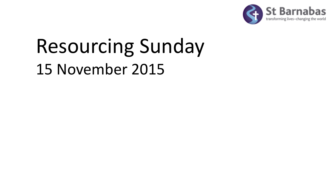

## Resourcing Sunday 15 November 2015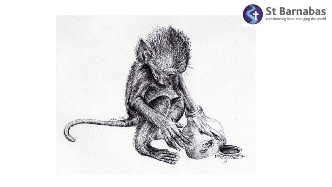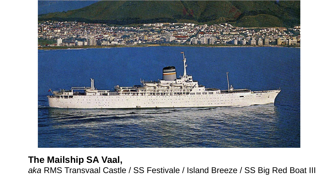

## **The Mailship SA Vaal,**

*aka* RMS Transvaal Castle / SS Festivale / Island Breeze / SS Big Red Boat III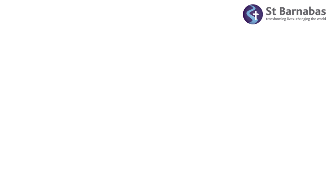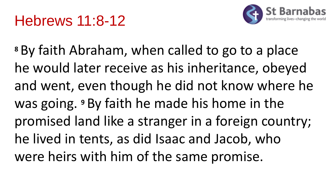



**<sup>8</sup>** By faith Abraham, when called to go to a place he would later receive as his inheritance, obeyed and went, even though he did not know where he was going. **<sup>9</sup>** By faith he made his home in the promised land like a stranger in a foreign country; he lived in tents, as did Isaac and Jacob, who were heirs with him of the same promise.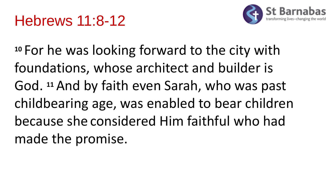



**<sup>10</sup>** For he was looking forward to the city with foundations, whose architect and builder is God. **<sup>11</sup>** And by faith even Sarah, who was past childbearing age, was enabled to bear children because she considered Him faithful who had made the promise.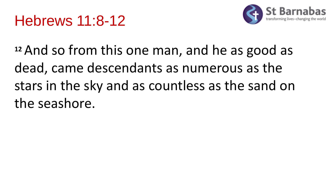



**<sup>12</sup>** And so from this one man, and he as good as dead, came descendants as numerous as the stars in the sky and as countless as the sand on the seashore.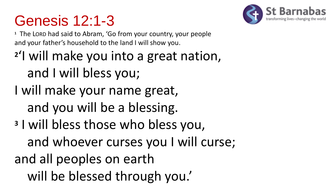## Genesis 12:1-3

**<sup>1</sup>** The LORD had said to Abram, 'Go from your country, your people and your father's household to the land I will show you.

- **2** 'I will make you into a great nation, and I will bless you;
- I will make your name great, and you will be a blessing.
- **3** I will bless those who bless you, and whoever curses you I will curse; and all peoples on earth will be blessed through you.'